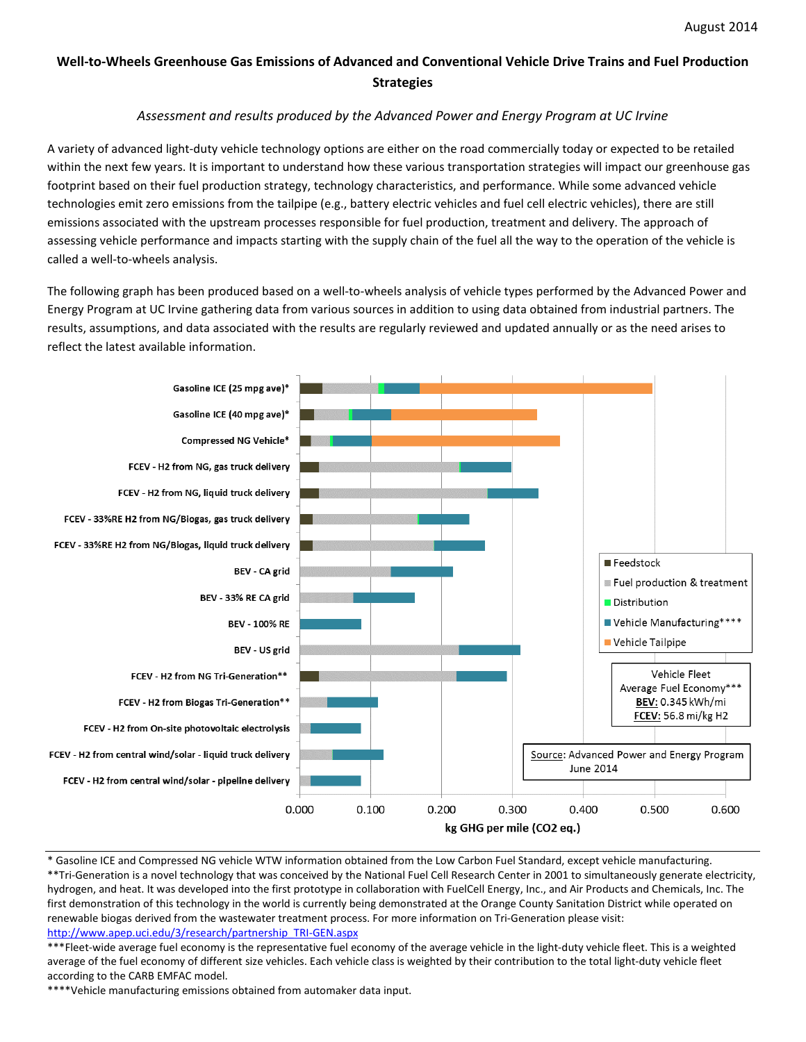## **Well-to-Wheels Greenhouse Gas Emissions of Advanced and Conventional Vehicle Drive Trains and Fuel Production Strategies**

## *Assessment and results produced by the Advanced Power and Energy Program at UC Irvine*

A variety of advanced light-duty vehicle technology options are either on the road commercially today or expected to be retailed within the next few years. It is important to understand how these various transportation strategies will impact our greenhouse gas footprint based on their fuel production strategy, technology characteristics, and performance. While some advanced vehicle technologies emit zero emissions from the tailpipe (e.g., battery electric vehicles and fuel cell electric vehicles), there are still emissions associated with the upstream processes responsible for fuel production, treatment and delivery. The approach of assessing vehicle performance and impacts starting with the supply chain of the fuel all the way to the operation of the vehicle is called a well-to-wheels analysis.

The following graph has been produced based on a well-to-wheels analysis of vehicle types performed by the Advanced Power and Energy Program at UC Irvine gathering data from various sources in addition to using data obtained from industrial partners. The results, assumptions, and data associated with the results are regularly reviewed and updated annually or as the need arises to reflect the latest available information.



\* Gasoline ICE and Compressed NG vehicle WTW information obtained from the Low Carbon Fuel Standard, except vehicle manufacturing. \*\*Tri-Generation is a novel technology that was conceived by the National Fuel Cell Research Center in 2001 to simultaneously generate electricity, hydrogen, and heat. It was developed into the first prototype in collaboration with FuelCell Energy, Inc., and Air Products and Chemicals, Inc. The first demonstration of this technology in the world is currently being demonstrated at the Orange County Sanitation District while operated on renewable biogas derived from the wastewater treatment process. For more information on Tri-Generation please visit: [http://www.apep.uci.edu/3/research/partnership\\_TRI-GEN.aspx](http://www.apep.uci.edu/3/research/partnership_TRI-GEN.aspx)

\*\*\*Fleet-wide average fuel economy is the representative fuel economy of the average vehicle in the light-duty vehicle fleet. This is a weighted average of the fuel economy of different size vehicles. Each vehicle class is weighted by their contribution to the total light-duty vehicle fleet according to the CARB EMFAC model.

\*\*\*\*Vehicle manufacturing emissions obtained from automaker data input.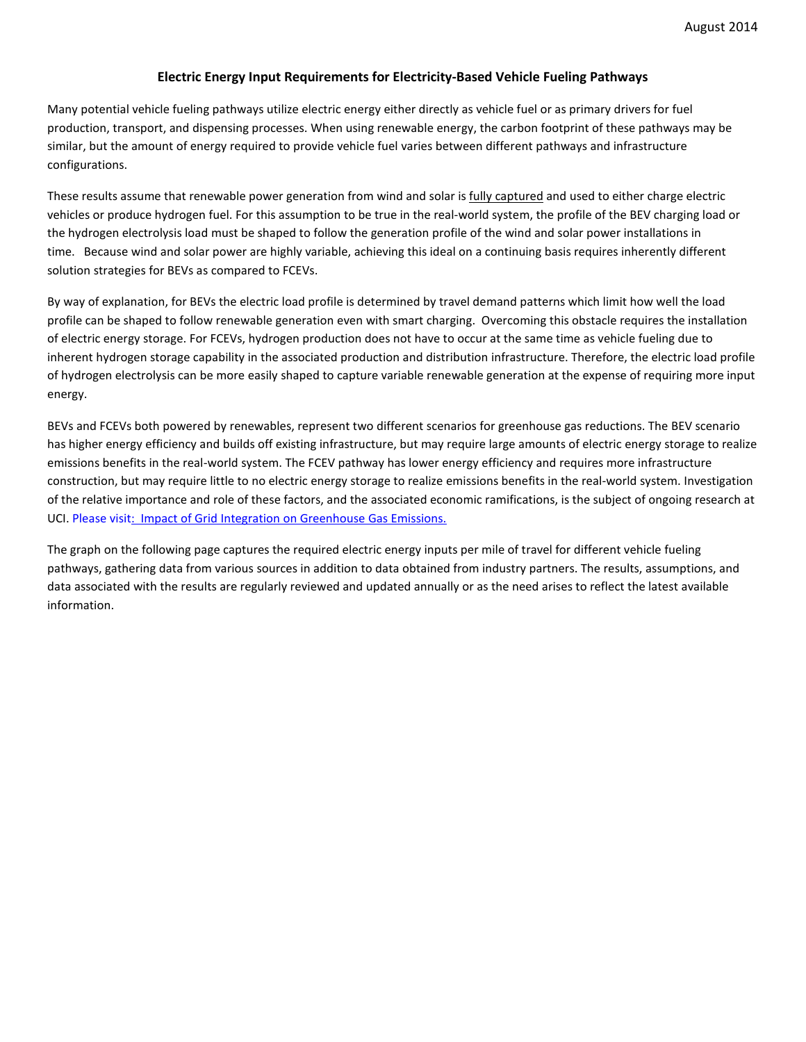## **Electric Energy Input Requirements for Electricity-Based Vehicle Fueling Pathways**

Many potential vehicle fueling pathways utilize electric energy either directly as vehicle fuel or as primary drivers for fuel production, transport, and dispensing processes. When using renewable energy, the carbon footprint of these pathways may be similar, but the amount of energy required to provide vehicle fuel varies between different pathways and infrastructure configurations.

These results assume that renewable power generation from wind and solar is fully captured and used to either charge electric vehicles or produce hydrogen fuel. For this assumption to be true in the real-world system, the profile of the BEV charging load or the hydrogen electrolysis load must be shaped to follow the generation profile of the wind and solar power installations in time. Because wind and solar power are highly variable, achieving this ideal on a continuing basis requires inherently different solution strategies for BEVs as compared to FCEVs.

By way of explanation, for BEVs the electric load profile is determined by travel demand patterns which limit how well the load profile can be shaped to follow renewable generation even with smart charging. Overcoming this obstacle requires the installation of electric energy storage. For FCEVs, hydrogen production does not have to occur at the same time as vehicle fueling due to inherent hydrogen storage capability in the associated production and distribution infrastructure. Therefore, the electric load profile of hydrogen electrolysis can be more easily shaped to capture variable renewable generation at the expense of requiring more input energy.

BEVs and FCEVs both powered by renewables, represent two different scenarios for greenhouse gas reductions. The BEV scenario has higher energy efficiency and builds off existing infrastructure, but may require large amounts of electric energy storage to realize emissions benefits in the real-world system. The FCEV pathway has lower energy efficiency and requires more infrastructure construction, but may require little to no electric energy storage to realize emissions benefits in the real-world system. Investigation of the relative importance and role of these factors, and the associated economic ramifications, is the subject of ongoing research at UCI. Please visi[t: Impact of Grid Integration on Greenhouse Gas Emissions.](http://www.apep.uci.edu/3/ResearchSummaries/pdf/SustainableTransportation/ElectricGrid_VehicleIntegrationGHGimpacts.pdf)

The graph on the following page captures the required electric energy inputs per mile of travel for different vehicle fueling pathways, gathering data from various sources in addition to data obtained from industry partners. The results, assumptions, and data associated with the results are regularly reviewed and updated annually or as the need arises to reflect the latest available information.